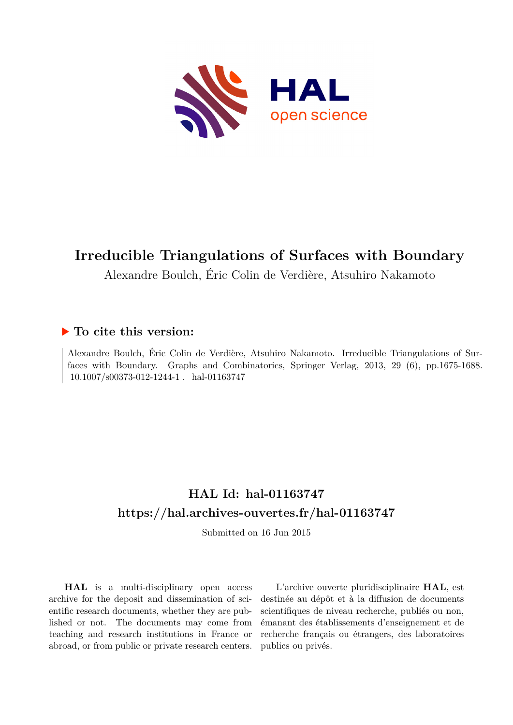

# **Irreducible Triangulations of Surfaces with Boundary**

Alexandre Boulch, Éric Colin de Verdière, Atsuhiro Nakamoto

# **To cite this version:**

Alexandre Boulch, Éric Colin de Verdière, Atsuhiro Nakamoto. Irreducible Triangulations of Surfaces with Boundary. Graphs and Combinatorics, Springer Verlag, 2013, 29 (6), pp.1675-1688.  $10.1007/\mathrm{s}00373\text{-}012\text{-}1244\text{-}1$  .  $\,$  hal-01163747

# **HAL Id: hal-01163747 <https://hal.archives-ouvertes.fr/hal-01163747>**

Submitted on 16 Jun 2015

**HAL** is a multi-disciplinary open access archive for the deposit and dissemination of scientific research documents, whether they are published or not. The documents may come from teaching and research institutions in France or abroad, or from public or private research centers.

L'archive ouverte pluridisciplinaire **HAL**, est destinée au dépôt et à la diffusion de documents scientifiques de niveau recherche, publiés ou non, émanant des établissements d'enseignement et de recherche français ou étrangers, des laboratoires publics ou privés.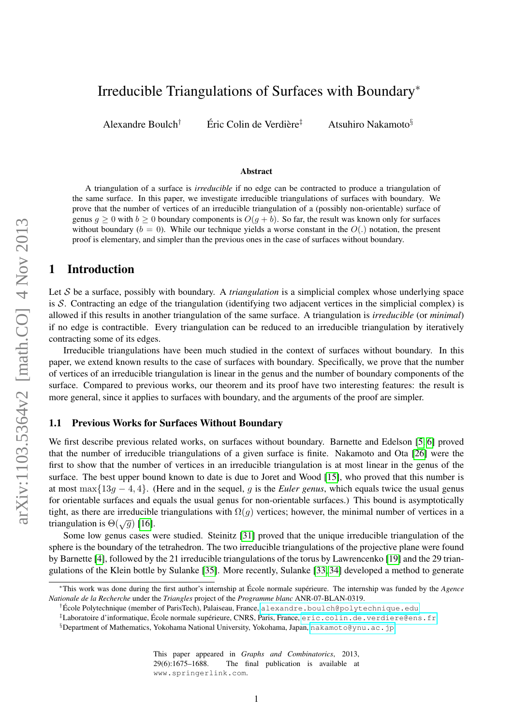# Irreducible Triangulations of Surfaces with Boundary<sup>∗</sup>

Alexandre Boulch† Éric Colin de Verdière‡ Atsuhiro Nakamoto§

#### Abstract

A triangulation of a surface is *irreducible* if no edge can be contracted to produce a triangulation of the same surface. In this paper, we investigate irreducible triangulations of surfaces with boundary. We prove that the number of vertices of an irreducible triangulation of a (possibly non-orientable) surface of genus  $g \ge 0$  with  $b \ge 0$  boundary components is  $O(g + b)$ . So far, the result was known only for surfaces without boundary ( $b = 0$ ). While our technique yields a worse constant in the  $O(.)$  notation, the present proof is elementary, and simpler than the previous ones in the case of surfaces without boundary.

### 1 Introduction

Let S be a surface, possibly with boundary. A *triangulation* is a simplicial complex whose underlying space is S. Contracting an edge of the triangulation (identifying two adjacent vertices in the simplicial complex) is allowed if this results in another triangulation of the same surface. A triangulation is *irreducible* (or *minimal*) if no edge is contractible. Every triangulation can be reduced to an irreducible triangulation by iteratively contracting some of its edges.

Irreducible triangulations have been much studied in the context of surfaces without boundary. In this paper, we extend known results to the case of surfaces with boundary. Specifically, we prove that the number of vertices of an irreducible triangulation is linear in the genus and the number of boundary components of the surface. Compared to previous works, our theorem and its proof have two interesting features: the result is more general, since it applies to surfaces with boundary, and the arguments of the proof are simpler.

#### 1.1 Previous Works for Surfaces Without Boundary

We first describe previous related works, on surfaces without boundary. Barnette and Edelson [5, 6] proved that the number of irreducible triangulations of a given surface is finite. Nakamoto and Ota [26] were the first to show that the number of vertices in an irreducible triangulation is at most linear in the genus of the surface. The best upper bound known to date is due to Joret and Wood [15], who proved that this number is at most max $\{13g - 4, 4\}$ . (Here and in the sequel, g is the *Euler genus*, which equals twice the usual genus for orientable surfaces and equals the usual genus for non-orientable surfaces.) This bound is asymptotically tight, as there are irreducible triangulations with  $\Omega(q)$  vertices; however, the minimal number of vertices in a triangulation is  $\Theta(\sqrt{q})$  [16].

Some low genus cases were studied. Steinitz [31] proved that the unique irreducible triangulation of the sphere is the boundary of the tetrahedron. The two irreducible triangulations of the projective plane were found by Barnette [4], followed by the 21 irreducible triangulations of the torus by Lawrencenko [19] and the 29 triangulations of the Klein bottle by Sulanke [35]. More recently, Sulanke [33, 34] developed a method to generate

<sup>∗</sup>This work was done during the first author's internship at École normale supérieure. The internship was funded by the *Agence Nationale de la Recherche* under the *Triangles* project of the *Programme blanc* ANR-07-BLAN-0319.

<sup>†</sup>École Polytechnique (member of ParisTech), Palaiseau, France, <alexandre.boulch@polytechnique.edu>

<sup>‡</sup>Laboratoire d'informatique, École normale supérieure, CNRS, Paris, France, <eric.colin.de.verdiere@ens.fr>

 $\S$ Department of Mathematics, Yokohama National University, Yokohama, Japan, <nakamoto@ynu.ac.jp>

This paper appeared in *Graphs and Combinatorics*, 2013, 29(6):1675–1688. The final publication is available at www.springerlink.com.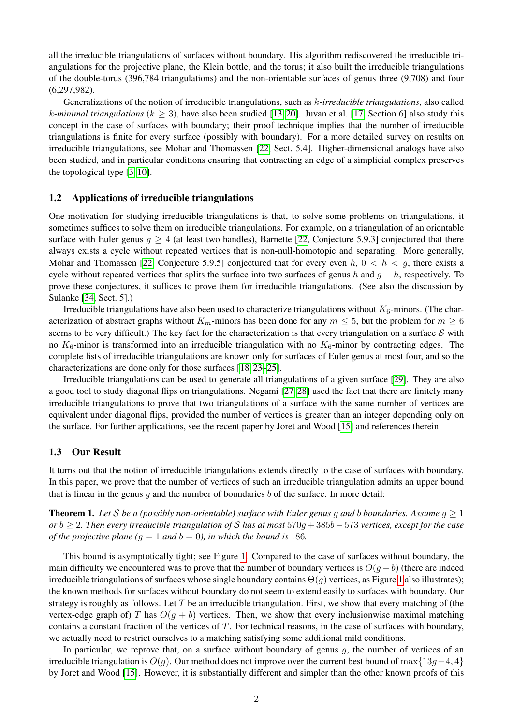all the irreducible triangulations of surfaces without boundary. His algorithm rediscovered the irreducible triangulations for the projective plane, the Klein bottle, and the torus; it also built the irreducible triangulations of the double-torus (396,784 triangulations) and the non-orientable surfaces of genus three (9,708) and four (6,297,982).

Generalizations of the notion of irreducible triangulations, such as k*-irreducible triangulations*, also called *k-minimal triangulations* ( $k \geq 3$ ), have also been studied [13, 20]. Juvan et al. [17, Section 6] also study this concept in the case of surfaces with boundary; their proof technique implies that the number of irreducible triangulations is finite for every surface (possibly with boundary). For a more detailed survey on results on irreducible triangulations, see Mohar and Thomassen [22, Sect. 5.4]. Higher-dimensional analogs have also been studied, and in particular conditions ensuring that contracting an edge of a simplicial complex preserves the topological type [3, 10].

### 1.2 Applications of irreducible triangulations

One motivation for studying irreducible triangulations is that, to solve some problems on triangulations, it sometimes suffices to solve them on irreducible triangulations. For example, on a triangulation of an orientable surface with Euler genus  $g \geq 4$  (at least two handles), Barnette [22, Conjecture 5.9.3] conjectured that there always exists a cycle without repeated vertices that is non-null-homotopic and separating. More generally, Mohar and Thomassen [22, Conjecture 5.9.5] conjectured that for every even  $h$ ,  $0 < h < g$ , there exists a cycle without repeated vertices that splits the surface into two surfaces of genus h and  $q - h$ , respectively. To prove these conjectures, it suffices to prove them for irreducible triangulations. (See also the discussion by Sulanke [34, Sect. 5].)

Irreducible triangulations have also been used to characterize triangulations without  $K_6$ -minors. (The characterization of abstract graphs without  $K_m$ -minors has been done for any  $m \leq 5$ , but the problem for  $m \geq 6$ seems to be very difficult.) The key fact for the characterization is that every triangulation on a surface  $S$  with no  $K_6$ -minor is transformed into an irreducible triangulation with no  $K_6$ -minor by contracting edges. The complete lists of irreducible triangulations are known only for surfaces of Euler genus at most four, and so the characterizations are done only for those surfaces [18, 23–25].

Irreducible triangulations can be used to generate all triangulations of a given surface [29]. They are also a good tool to study diagonal flips on triangulations. Negami [27, 28] used the fact that there are finitely many irreducible triangulations to prove that two triangulations of a surface with the same number of vertices are equivalent under diagonal flips, provided the number of vertices is greater than an integer depending only on the surface. For further applications, see the recent paper by Joret and Wood [15] and references therein.

#### 1.3 Our Result

It turns out that the notion of irreducible triangulations extends directly to the case of surfaces with boundary. In this paper, we prove that the number of vertices of such an irreducible triangulation admits an upper bound that is linear in the genus  $g$  and the number of boundaries  $b$  of the surface. In more detail:

**Theorem 1.** Let S be a (possibly non-orientable) surface with Euler genus g and b boundaries. Assume  $g \geq 1$ *or* b ≥ 2*. Then every irreducible triangulation of* S *has at most* 570g + 385b−573 *vertices, except for the case of the projective plane* ( $g = 1$  *and*  $b = 0$ *), in which the bound is* 186*.* 

This bound is asymptotically tight; see Figure 1. Compared to the case of surfaces without boundary, the main difficulty we encountered was to prove that the number of boundary vertices is  $O(g + b)$  (there are indeed irreducible triangulations of surfaces whose single boundary contains  $\Theta(g)$  vertices, as Figure 1 also illustrates); the known methods for surfaces without boundary do not seem to extend easily to surfaces with boundary. Our strategy is roughly as follows. Let  $T$  be an irreducible triangulation. First, we show that every matching of (the vertex-edge graph of) T has  $O(g + b)$  vertices. Then, we show that every inclusionwise maximal matching contains a constant fraction of the vertices of  $T$ . For technical reasons, in the case of surfaces with boundary, we actually need to restrict ourselves to a matching satisfying some additional mild conditions.

In particular, we reprove that, on a surface without boundary of genus  $q$ , the number of vertices of an irreducible triangulation is  $O(q)$ . Our method does not improve over the current best bound of max{13g−4, 4} by Joret and Wood [15]. However, it is substantially different and simpler than the other known proofs of this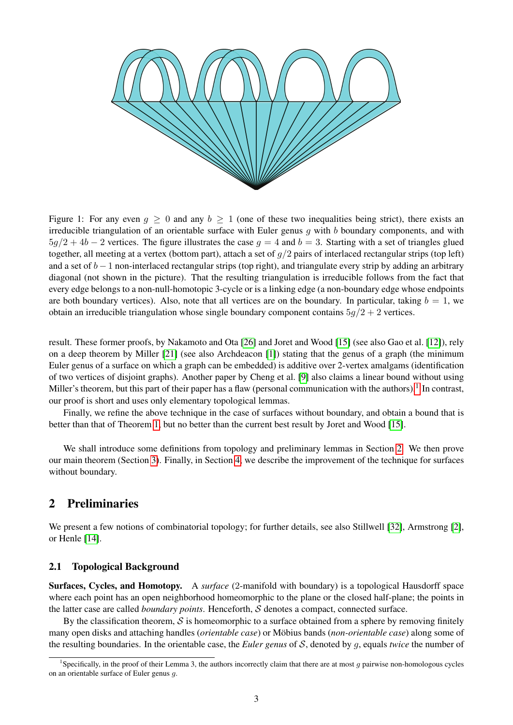

Figure 1: For any even  $g \ge 0$  and any  $b \ge 1$  (one of these two inequalities being strict), there exists an irreducible triangulation of an orientable surface with Euler genus  $q$  with  $b$  boundary components, and with  $5q/2 + 4b - 2$  vertices. The figure illustrates the case  $q = 4$  and  $b = 3$ . Starting with a set of triangles glued together, all meeting at a vertex (bottom part), attach a set of  $q/2$  pairs of interlaced rectangular strips (top left) and a set of  $b-1$  non-interlaced rectangular strips (top right), and triangulate every strip by adding an arbitrary diagonal (not shown in the picture). That the resulting triangulation is irreducible follows from the fact that every edge belongs to a non-null-homotopic 3-cycle or is a linking edge (a non-boundary edge whose endpoints are both boundary vertices). Also, note that all vertices are on the boundary. In particular, taking  $b = 1$ , we obtain an irreducible triangulation whose single boundary component contains  $5g/2 + 2$  vertices.

result. These former proofs, by Nakamoto and Ota [26] and Joret and Wood [15] (see also Gao et al. [12]), rely on a deep theorem by Miller [21] (see also Archdeacon [1]) stating that the genus of a graph (the minimum Euler genus of a surface on which a graph can be embedded) is additive over 2-vertex amalgams (identification of two vertices of disjoint graphs). Another paper by Cheng et al. [9] also claims a linear bound without using Miller's theorem, but this part of their paper has a flaw (personal communication with the authors).<sup>1</sup> In contrast, our proof is short and uses only elementary topological lemmas.

Finally, we refine the above technique in the case of surfaces without boundary, and obtain a bound that is better than that of Theorem 1, but no better than the current best result by Joret and Wood [15].

We shall introduce some definitions from topology and preliminary lemmas in Section 2. We then prove our main theorem (Section 3). Finally, in Section 4, we describe the improvement of the technique for surfaces without boundary.

## 2 Preliminaries

We present a few notions of combinatorial topology; for further details, see also Stillwell [32], Armstrong [2], or Henle [14].

### 2.1 Topological Background

Surfaces, Cycles, and Homotopy. A *surface* (2-manifold with boundary) is a topological Hausdorff space where each point has an open neighborhood homeomorphic to the plane or the closed half-plane; the points in the latter case are called *boundary points*. Henceforth, S denotes a compact, connected surface.

By the classification theorem,  $S$  is homeomorphic to a surface obtained from a sphere by removing finitely many open disks and attaching handles (*orientable case*) or Möbius bands (*non-orientable case*) along some of the resulting boundaries. In the orientable case, the *Euler genus* of S, denoted by g, equals *twice* the number of

<sup>&</sup>lt;sup>1</sup>Specifically, in the proof of their Lemma 3, the authors incorrectly claim that there are at most  $g$  pairwise non-homologous cycles on an orientable surface of Euler genus g.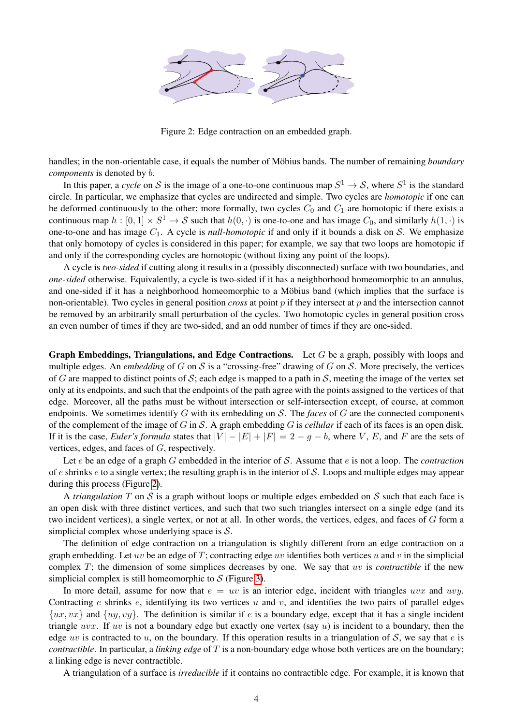

Figure 2: Edge contraction on an embedded graph.

handles; in the non-orientable case, it equals the number of Möbius bands. The number of remaining *boundary components* is denoted by b.

In this paper, a *cycle* on S is the image of a one-to-one continuous map  $S^1 \to S$ , where  $S^1$  is the standard circle. In particular, we emphasize that cycles are undirected and simple. Two cycles are *homotopic* if one can be deformed continuously to the other; more formally, two cycles  $C_0$  and  $C_1$  are homotopic if there exists a continuous map  $h:[0,1]\times S^1\to \mathcal{S}$  such that  $h(0,\cdot)$  is one-to-one and has image  $C_0$ , and similarly  $h(1,\cdot)$  is one-to-one and has image  $C_1$ . A cycle is *null-homotopic* if and only if it bounds a disk on S. We emphasize that only homotopy of cycles is considered in this paper; for example, we say that two loops are homotopic if and only if the corresponding cycles are homotopic (without fixing any point of the loops).

A cycle is *two-sided* if cutting along it results in a (possibly disconnected) surface with two boundaries, and *one-sided* otherwise. Equivalently, a cycle is two-sided if it has a neighborhood homeomorphic to an annulus, and one-sided if it has a neighborhood homeomorphic to a Möbius band (which implies that the surface is non-orientable). Two cycles in general position *cross* at point p if they intersect at p and the intersection cannot be removed by an arbitrarily small perturbation of the cycles. Two homotopic cycles in general position cross an even number of times if they are two-sided, and an odd number of times if they are one-sided.

**Graph Embeddings, Triangulations, and Edge Contractions.** Let  $G$  be a graph, possibly with loops and multiple edges. An *embedding* of G on S is a "crossing-free" drawing of G on S. More precisely, the vertices of G are mapped to distinct points of S; each edge is mapped to a path in S, meeting the image of the vertex set only at its endpoints, and such that the endpoints of the path agree with the points assigned to the vertices of that edge. Moreover, all the paths must be without intersection or self-intersection except, of course, at common endpoints. We sometimes identify G with its embedding on S. The *faces* of G are the connected components of the complement of the image of G in S. A graph embedding G is *cellular* if each of its faces is an open disk. If it is the case, *Euler's formula* states that  $|V| - |E| + |F| = 2 - g - b$ , where V, E, and F are the sets of vertices, edges, and faces of G, respectively.

Let e be an edge of a graph G embedded in the interior of S. Assume that e is not a loop. The *contraction* of e shrinks e to a single vertex; the resulting graph is in the interior of  $S$ . Loops and multiple edges may appear during this process (Figure 2).

A *triangulation* T on S is a graph without loops or multiple edges embedded on S such that each face is an open disk with three distinct vertices, and such that two such triangles intersect on a single edge (and its two incident vertices), a single vertex, or not at all. In other words, the vertices, edges, and faces of G form a simplicial complex whose underlying space is  $S$ .

The definition of edge contraction on a triangulation is slightly different from an edge contraction on a graph embedding. Let uv be an edge of T; contracting edge uv identifies both vertices u and v in the simplicial complex T; the dimension of some simplices decreases by one. We say that uv is *contractible* if the new simplicial complex is still homeomorphic to  $S$  (Figure 3).

In more detail, assume for now that  $e = uv$  is an interior edge, incident with triangles uvx and uvy. Contracting e shrinks e, identifying its two vertices u and  $v$ , and identifies the two pairs of parallel edges  $\{ux, vx\}$  and  $\{uy, vy\}$ . The definition is similar if e is a boundary edge, except that it has a single incident triangle  $uvx$ . If uv is not a boundary edge but exactly one vertex (say u) is incident to a boundary, then the edge uv is contracted to u, on the boundary. If this operation results in a triangulation of S, we say that e is *contractible*. In particular, a *linking edge* of T is a non-boundary edge whose both vertices are on the boundary; a linking edge is never contractible.

A triangulation of a surface is *irreducible* if it contains no contractible edge. For example, it is known that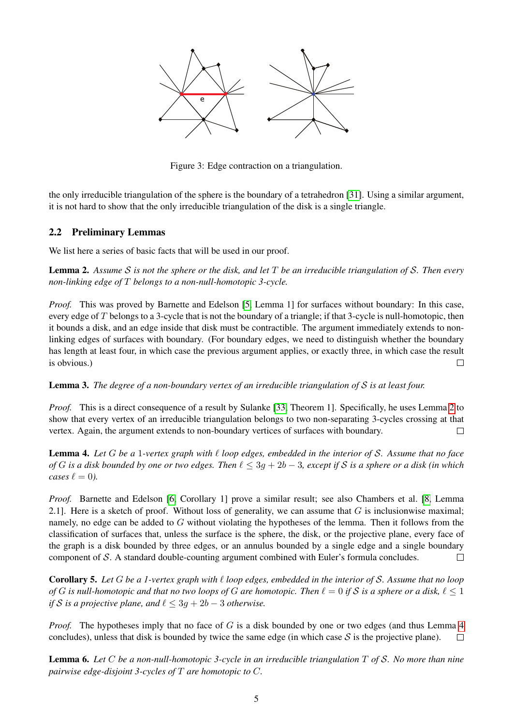

Figure 3: Edge contraction on a triangulation.

the only irreducible triangulation of the sphere is the boundary of a tetrahedron [31]. Using a similar argument, it is not hard to show that the only irreducible triangulation of the disk is a single triangle.

## 2.2 Preliminary Lemmas

We list here a series of basic facts that will be used in our proof.

Lemma 2. *Assume* S *is not the sphere or the disk, and let* T *be an irreducible triangulation of* S*. Then every non-linking edge of* T *belongs to a non-null-homotopic 3-cycle.*

*Proof.* This was proved by Barnette and Edelson [5, Lemma 1] for surfaces without boundary: In this case, every edge of T belongs to a 3-cycle that is not the boundary of a triangle; if that 3-cycle is null-homotopic, then it bounds a disk, and an edge inside that disk must be contractible. The argument immediately extends to nonlinking edges of surfaces with boundary. (For boundary edges, we need to distinguish whether the boundary has length at least four, in which case the previous argument applies, or exactly three, in which case the result is obvious.)  $\Box$ 

Lemma 3. *The degree of a non-boundary vertex of an irreducible triangulation of* S *is at least four.*

*Proof.* This is a direct consequence of a result by Sulanke [33, Theorem 1]. Specifically, he uses Lemma 2 to show that every vertex of an irreducible triangulation belongs to two non-separating 3-cycles crossing at that vertex. Again, the argument extends to non-boundary vertices of surfaces with boundary.  $\Box$ 

Lemma 4. Let G be a 1-vertex graph with  $\ell$  loop edges, embedded in the interior of S. Assume that no face *of* G is a disk bounded by one or two edges. Then  $\ell \leq 3g + 2b - 3$ , except if S is a sphere or a disk (in which *cases*  $\ell = 0$ *).* 

*Proof.* Barnette and Edelson [6, Corollary 1] prove a similar result; see also Chambers et al. [8, Lemma 2.1]. Here is a sketch of proof. Without loss of generality, we can assume that  $G$  is inclusionwise maximal; namely, no edge can be added to G without violating the hypotheses of the lemma. Then it follows from the classification of surfaces that, unless the surface is the sphere, the disk, or the projective plane, every face of the graph is a disk bounded by three edges, or an annulus bounded by a single edge and a single boundary component of  $S$ . A standard double-counting argument combined with Euler's formula concludes.  $\Box$ 

**Corollary 5.** Let G be a 1-vertex graph with  $\ell$  loop edges, embedded in the interior of S. Assume that no loop *of* G is null-homotopic and that no two loops of G are homotopic. Then  $\ell = 0$  if S is a sphere or a disk,  $\ell \leq 1$ *if* S *is a projective plane, and*  $\ell \leq 3g + 2b - 3$  *otherwise.* 

*Proof.* The hypotheses imply that no face of G is a disk bounded by one or two edges (and thus Lemma 4 concludes), unless that disk is bounded by twice the same edge (in which case  $S$  is the projective plane).  $\Box$ 

Lemma 6. *Let* C *be a non-null-homotopic 3-cycle in an irreducible triangulation* T *of* S*. No more than nine pairwise edge-disjoint 3-cycles of* T *are homotopic to* C*.*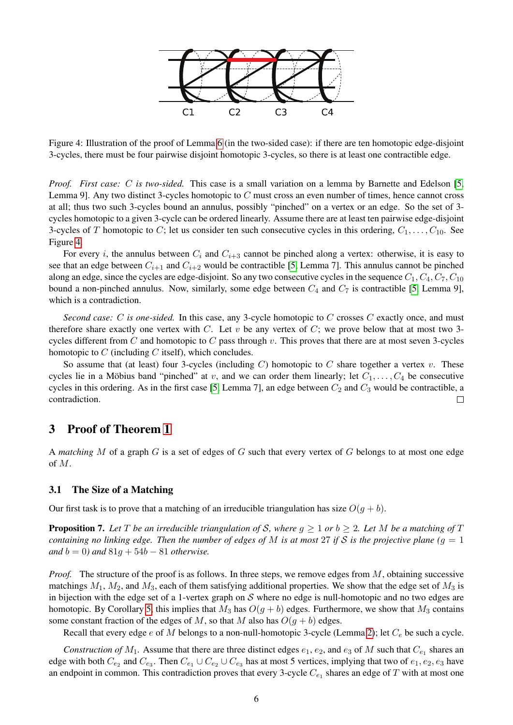

Figure 4: Illustration of the proof of Lemma 6 (in the two-sided case): if there are ten homotopic edge-disjoint 3-cycles, there must be four pairwise disjoint homotopic 3-cycles, so there is at least one contractible edge.

*Proof. First case:* C *is two-sided.* This case is a small variation on a lemma by Barnette and Edelson [5, Lemma 9]. Any two distinct 3-cycles homotopic to  $C$  must cross an even number of times, hence cannot cross at all; thus two such 3-cycles bound an annulus, possibly "pinched" on a vertex or an edge. So the set of 3 cycles homotopic to a given 3-cycle can be ordered linearly. Assume there are at least ten pairwise edge-disjoint 3-cycles of T homotopic to C; let us consider ten such consecutive cycles in this ordering,  $C_1, \ldots, C_{10}$ . See Figure 4.

For every i, the annulus between  $C_i$  and  $C_{i+3}$  cannot be pinched along a vertex: otherwise, it is easy to see that an edge between  $C_{i+1}$  and  $C_{i+2}$  would be contractible [5, Lemma 7]. This annulus cannot be pinched along an edge, since the cycles are edge-disjoint. So any two consecutive cycles in the sequence  $C_1, C_4, C_7, C_{10}$ bound a non-pinched annulus. Now, similarly, some edge between  $C_4$  and  $C_7$  is contractible [5, Lemma 9], which is a contradiction.

*Second case:* C *is one-sided.* In this case, any 3-cycle homotopic to C crosses C exactly once, and must therefore share exactly one vertex with C. Let  $v$  be any vertex of C; we prove below that at most two 3cycles different from C and homotopic to C pass through v. This proves that there are at most seven 3-cycles homotopic to  $C$  (including  $C$  itself), which concludes.

So assume that (at least) four 3-cycles (including  $C$ ) homotopic to  $C$  share together a vertex  $v$ . These cycles lie in a Möbius band "pinched" at v, and we can order them linearly; let  $C_1, \ldots, C_4$  be consecutive cycles in this ordering. As in the first case [5, Lemma 7], an edge between  $C_2$  and  $C_3$  would be contractible, a contradiction.  $\Box$ 

# 3 Proof of Theorem 1

A *matching* M of a graph G is a set of edges of G such that every vertex of G belongs to at most one edge of M.

### 3.1 The Size of a Matching

Our first task is to prove that a matching of an irreducible triangulation has size  $O(g + b)$ .

**Proposition 7.** Let T be an irreducible triangulation of S, where  $g \geq 1$  or  $b \geq 2$ . Let M be a matching of T *containing no linking edge. Then the number of edges of* M *is at most* 27 *if* S *is the projective plane* ( $g = 1$ ) *and*  $b = 0$ *)* and  $81g + 54b - 81$  *otherwise.* 

*Proof.* The structure of the proof is as follows. In three steps, we remove edges from M, obtaining successive matchings  $M_1$ ,  $M_2$ , and  $M_3$ , each of them satisfying additional properties. We show that the edge set of  $M_3$  is in bijection with the edge set of a 1-vertex graph on  $S$  where no edge is null-homotopic and no two edges are homotopic. By Corollary 5, this implies that  $M_3$  has  $O(g + b)$  edges. Furthermore, we show that  $M_3$  contains some constant fraction of the edges of M, so that M also has  $O(g + b)$  edges.

Recall that every edge e of M belongs to a non-null-homotopic 3-cycle (Lemma 2); let  $C_e$  be such a cycle.

*Construction of*  $M_1$ . Assume that there are three distinct edges  $e_1$ ,  $e_2$ , and  $e_3$  of M such that  $C_{e_1}$  shares an edge with both  $C_{e_2}$  and  $C_{e_3}$ . Then  $C_{e_1} \cup C_{e_2} \cup C_{e_3}$  has at most 5 vertices, implying that two of  $e_1, e_2, e_3$  have an endpoint in common. This contradiction proves that every 3-cycle  $C_{e_1}$  shares an edge of  $T$  with at most one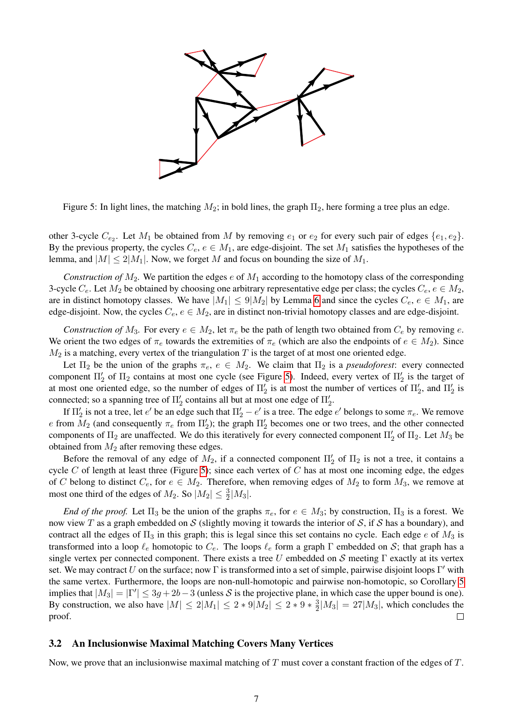

Figure 5: In light lines, the matching  $M_2$ ; in bold lines, the graph  $\Pi_2$ , here forming a tree plus an edge.

other 3-cycle  $C_{e_2}$ . Let  $M_1$  be obtained from M by removing  $e_1$  or  $e_2$  for every such pair of edges  $\{e_1, e_2\}$ . By the previous property, the cycles  $C_e$ ,  $e \in M_1$ , are edge-disjoint. The set  $M_1$  satisfies the hypotheses of the lemma, and  $|M| \le 2|M_1|$ . Now, we forget M and focus on bounding the size of  $M_1$ .

*Construction of*  $M_2$ . We partition the edges  $e$  of  $M_1$  according to the homotopy class of the corresponding 3-cycle  $C_e$ . Let  $M_2$  be obtained by choosing one arbitrary representative edge per class; the cycles  $C_e$ ,  $e \in M_2$ , are in distinct homotopy classes. We have  $|M_1| \leq 9|M_2|$  by Lemma 6 and since the cycles  $C_e, e \in M_1$ , are edge-disjoint. Now, the cycles  $C_e$ ,  $e \in M_2$ , are in distinct non-trivial homotopy classes and are edge-disjoint.

*Construction of*  $M_3$ . For every  $e \in M_2$ , let  $\pi_e$  be the path of length two obtained from  $C_e$  by removing  $e$ . We orient the two edges of  $\pi_e$  towards the extremities of  $\pi_e$  (which are also the endpoints of  $e \in M_2$ ). Since  $M_2$  is a matching, every vertex of the triangulation T is the target of at most one oriented edge.

Let  $\Pi_2$  be the union of the graphs  $\pi_e$ ,  $e \in M_2$ . We claim that  $\Pi_2$  is a *pseudoforest*: every connected component  $\Pi'_2$  of  $\Pi_2$  contains at most one cycle (see Figure 5). Indeed, every vertex of  $\Pi'_2$  is the target of at most one oriented edge, so the number of edges of  $\Pi_2'$  is at most the number of vertices of  $\Pi_2'$ , and  $\Pi_2'$  is connected; so a spanning tree of  $\Pi_2'$  contains all but at most one edge of  $\Pi_2'.$ 

If  $\Pi'_2$  is not a tree, let  $e'$  be an edge such that  $\Pi'_2 - e'$  is a tree. The edge  $e'$  belongs to some  $\pi_e$ . We remove e from  $M_2$  (and consequently  $\pi_e$  from  $\Pi'_2$ ); the graph  $\Pi'_2$  becomes one or two trees, and the other connected components of  $\Pi_2$  are unaffected. We do this iteratively for every connected component  $\Pi_2'$  of  $\Pi_2$ . Let  $M_3$  be obtained from  $M_2$  after removing these edges.

Before the removal of any edge of  $M_2$ , if a connected component  $\Pi'_2$  of  $\Pi_2$  is not a tree, it contains a cycle  $C$  of length at least three (Figure 5); since each vertex of  $C$  has at most one incoming edge, the edges of C belong to distinct  $C_e$ , for  $e \in M_2$ . Therefore, when removing edges of  $M_2$  to form  $M_3$ , we remove at most one third of the edges of  $M_2$ . So  $|M_2| \leq \frac{3}{2}|M_3|$ .

*End of the proof.* Let  $\Pi_3$  be the union of the graphs  $\pi_e$ , for  $e \in M_3$ ; by construction,  $\Pi_3$  is a forest. We now view T as a graph embedded on S (slightly moving it towards the interior of S, if S has a boundary), and contract all the edges of  $\Pi_3$  in this graph; this is legal since this set contains no cycle. Each edge e of  $M_3$  is transformed into a loop  $\ell_e$  homotopic to  $C_e$ . The loops  $\ell_e$  form a graph  $\Gamma$  embedded on S; that graph has a single vertex per connected component. There exists a tree U embedded on S meeting  $\Gamma$  exactly at its vertex set. We may contract U on the surface; now  $\Gamma$  is transformed into a set of simple, pairwise disjoint loops  $\Gamma'$  with the same vertex. Furthermore, the loops are non-null-homotopic and pairwise non-homotopic, so Corollary 5 implies that  $|M_3| = |\Gamma'| \leq 3g + 2b - 3$  (unless S is the projective plane, in which case the upper bound is one). By construction, we also have  $|M| \le 2|M_1| \le 2 * 9|M_2| \le 2 * 9 * \frac{3}{2}$  $\frac{3}{2}|M_3| = 27|M_3|$ , which concludes the proof.  $\Box$ 

#### 3.2 An Inclusionwise Maximal Matching Covers Many Vertices

Now, we prove that an inclusionwise maximal matching of T must cover a constant fraction of the edges of T.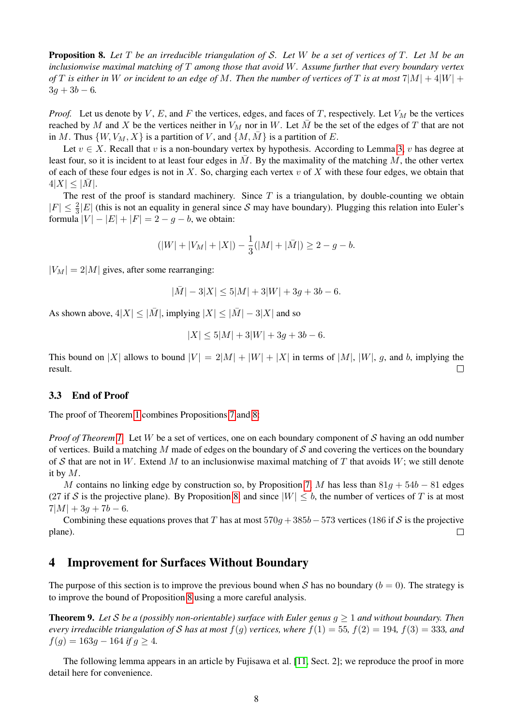Proposition 8. *Let* T *be an irreducible triangulation of* S*. Let* W *be a set of vertices of* T*. Let* M *be an inclusionwise maximal matching of* T *among those that avoid* W*. Assume further that every boundary vertex of* T is either in W or incident to an edge of M. Then the number of vertices of T is at most  $7|M| + 4|W| +$  $3q + 3b - 6$ .

*Proof.* Let us denote by  $V$ ,  $E$ , and  $F$  the vertices, edges, and faces of  $T$ , respectively. Let  $V_M$  be the vertices reached by M and X be the vertices neither in  $V_M$  nor in W. Let M be the set of the edges of T that are not in M. Thus  $\{W, V_M, X\}$  is a partition of V, and  $\{M, \overline{M}\}$  is a partition of E.

Let  $v \in X$ . Recall that v is a non-boundary vertex by hypothesis. According to Lemma 3, v has degree at least four, so it is incident to at least four edges in  $\overline{M}$ . By the maximality of the matching M, the other vertex of each of these four edges is not in X. So, charging each vertex  $v$  of X with these four edges, we obtain that  $4|X| \leq |\bar{M}|.$ 

The rest of the proof is standard machinery. Since  $T$  is a triangulation, by double-counting we obtain  $|F| \leq \frac{2}{3}|E|$  (this is not an equality in general since S may have boundary). Plugging this relation into Euler's formula  $|V| - |E| + |F| = 2 - q - b$ , we obtain:

$$
(|W| + |V_M| + |X|) - \frac{1}{3}(|M| + |\bar{M}|) \ge 2 - g - b.
$$

 $|V_M| = 2|M|$  gives, after some rearranging:

 $|\bar{M}| - 3|X| \leq 5|M| + 3|W| + 3q + 3b - 6.$ 

As shown above,  $4|X| \leq |\bar{M}|$ , implying  $|X| \leq |\bar{M}| - 3|X|$  and so

$$
|X| \le 5|M| + 3|W| + 3g + 3b - 6.
$$

This bound on |X| allows to bound  $|V| = 2|M| + |W| + |X|$  in terms of  $|M|$ ,  $|W|$ , q, and b, implying the result.  $\Box$ 

### 3.3 End of Proof

The proof of Theorem 1 combines Propositions 7 and 8:

*Proof of Theorem 1.* Let W be a set of vertices, one on each boundary component of S having an odd number of vertices. Build a matching M made of edges on the boundary of S and covering the vertices on the boundary of S that are not in W. Extend M to an inclusionwise maximal matching of T that avoids W; we still denote it by M.

M contains no linking edge by construction so, by Proposition 7, M has less than  $81g + 54b - 81$  edges (27 if S is the projective plane). By Proposition 8, and since  $|W| \leq b$ , the number of vertices of T is at most  $7|M| + 3q + 7b - 6.$ 

Combining these equations proves that T has at most  $570g + 385b - 573$  vertices (186 if S is the projective plane).  $\Box$ 

### 4 Improvement for Surfaces Without Boundary

The purpose of this section is to improve the previous bound when S has no boundary ( $b = 0$ ). The strategy is to improve the bound of Proposition 8 using a more careful analysis.

Theorem 9. *Let* S *be a (possibly non-orientable) surface with Euler genus* g ≥ 1 *and without boundary. Then every irreducible triangulation of* S has at most  $f(g)$  vertices, where  $f(1) = 55$ ,  $f(2) = 194$ ,  $f(3) = 333$ , and  $f(g) = 163g - 164$  *if*  $g \geq 4$ *.* 

The following lemma appears in an article by Fujisawa et al. [11, Sect. 2]; we reproduce the proof in more detail here for convenience.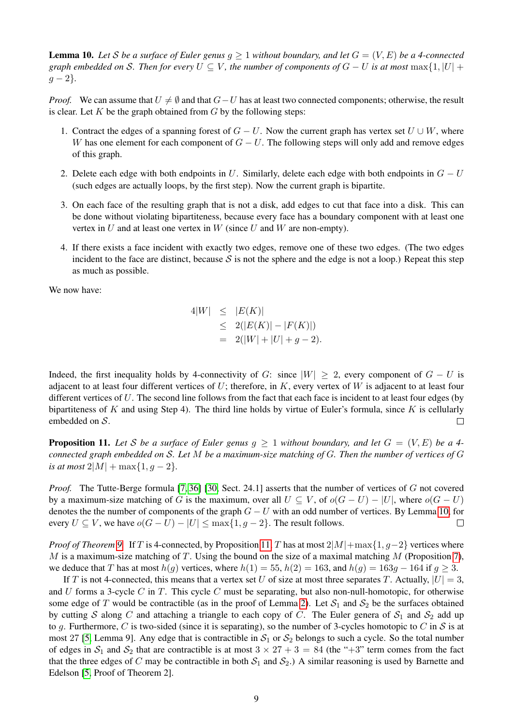**Lemma 10.** Let S be a surface of Euler genus  $q \geq 1$  without boundary, and let  $G = (V, E)$  be a 4-connected *graph embedded on* S. Then for every  $U \subseteq V$ , the number of components of  $G - U$  is at most max $\{1, |U| +$  $g - 2$ *}*.

*Proof.* We can assume that  $U \neq \emptyset$  and that  $G-U$  has at least two connected components; otherwise, the result is clear. Let  $K$  be the graph obtained from  $G$  by the following steps:

- 1. Contract the edges of a spanning forest of  $G U$ . Now the current graph has vertex set  $U \cup W$ , where W has one element for each component of  $G - U$ . The following steps will only add and remove edges of this graph.
- 2. Delete each edge with both endpoints in U. Similarly, delete each edge with both endpoints in  $G U$ (such edges are actually loops, by the first step). Now the current graph is bipartite.
- 3. On each face of the resulting graph that is not a disk, add edges to cut that face into a disk. This can be done without violating bipartiteness, because every face has a boundary component with at least one vertex in  $U$  and at least one vertex in  $W$  (since  $U$  and  $W$  are non-empty).
- 4. If there exists a face incident with exactly two edges, remove one of these two edges. (The two edges incident to the face are distinct, because  $S$  is not the sphere and the edge is not a loop.) Repeat this step as much as possible.

We now have:

$$
4|W| \le |E(K)|
$$
  
\n
$$
\le 2(|E(K)| - |F(K)|)
$$
  
\n
$$
= 2(|W| + |U| + g - 2).
$$

Indeed, the first inequality holds by 4-connectivity of G: since  $|W| \geq 2$ , every component of  $G - U$  is adjacent to at least four different vertices of  $U$ ; therefore, in  $K$ , every vertex of  $W$  is adjacent to at least four different vertices of U. The second line follows from the fact that each face is incident to at least four edges (by bipartiteness of K and using Step 4). The third line holds by virtue of Euler's formula, since K is cellularly embedded on S.  $\Box$ 

**Proposition 11.** Let S be a surface of Euler genus  $q \ge 1$  without boundary, and let  $G = (V, E)$  be a 4*connected graph embedded on* S*. Let* M *be a maximum-size matching of* G*. Then the number of vertices of* G *is at most*  $2|M| + max{1, q - 2}$ *.* 

*Proof.* The Tutte-Berge formula [7, 36] [30, Sect. 24.1] asserts that the number of vertices of G not covered by a maximum-size matching of G is the maximum, over all  $U \subseteq V$ , of  $o(G-U) - |U|$ , where  $o(G-U)$ denotes the the number of components of the graph  $G - U$  with an odd number of vertices. By Lemma 10, for every  $U \subseteq V$ , we have  $o(G-U) - |U| \le \max\{1, g-2\}$ . The result follows.  $\Box$ 

*Proof of Theorem* 9. If T is 4-connected, by Proposition 11, T has at most 2|M|+max{1, g−2} vertices where M is a maximum-size matching of T. Using the bound on the size of a maximal matching  $M$  (Proposition 7), we deduce that T has at most  $h(g)$  vertices, where  $h(1) = 55$ ,  $h(2) = 163$ , and  $h(g) = 163g - 164$  if  $g \ge 3$ .

If T is not 4-connected, this means that a vertex set U of size at most three separates T. Actually,  $|U| = 3$ , and U forms a 3-cycle C in T. This cycle C must be separating, but also non-null-homotopic, for otherwise some edge of T would be contractible (as in the proof of Lemma 2). Let  $S_1$  and  $S_2$  be the surfaces obtained by cutting S along C and attaching a triangle to each copy of C. The Euler genera of  $S_1$  and  $S_2$  add up to g. Furthermore, C is two-sided (since it is separating), so the number of 3-cycles homotopic to C in S is at most 27 [5, Lemma 9]. Any edge that is contractible in  $S_1$  or  $S_2$  belongs to such a cycle. So the total number of edges in  $S_1$  and  $S_2$  that are contractible is at most  $3 \times 27 + 3 = 84$  (the "+3" term comes from the fact that the three edges of C may be contractible in both  $S_1$  and  $S_2$ .) A similar reasoning is used by Barnette and Edelson [5, Proof of Theorem 2].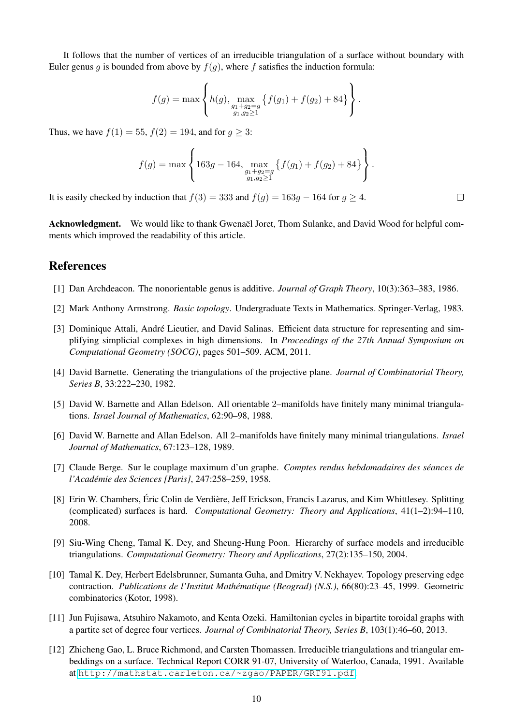It follows that the number of vertices of an irreducible triangulation of a surface without boundary with Euler genus q is bounded from above by  $f(q)$ , where f satisfies the induction formula:

$$
f(g) = \max \left\{ h(g), \max_{\substack{g_1+g_2=g\\ g_1,g_2 \ge 1}} \left\{ f(g_1) + f(g_2) + 84 \right\} \right\}.
$$

Thus, we have  $f(1) = 55$ ,  $f(2) = 194$ , and for  $g \ge 3$ :

$$
f(g) = \max \left\{ 163g - 164, \max_{\substack{g_1+g_2=g\\ g_1,g_2\geq 1}} \left\{ f(g_1) + f(g_2) + 84 \right\} \right\}.
$$

It is easily checked by induction that  $f(3) = 333$  and  $f(g) = 163g - 164$  for  $g \ge 4$ .

Acknowledgment. We would like to thank Gwenaël Joret, Thom Sulanke, and David Wood for helpful comments which improved the readability of this article.

### References

- [1] Dan Archdeacon. The nonorientable genus is additive. *Journal of Graph Theory*, 10(3):363–383, 1986.
- [2] Mark Anthony Armstrong. *Basic topology*. Undergraduate Texts in Mathematics. Springer-Verlag, 1983.
- [3] Dominique Attali, André Lieutier, and David Salinas. Efficient data structure for representing and simplifying simplicial complexes in high dimensions. In *Proceedings of the 27th Annual Symposium on Computational Geometry (SOCG)*, pages 501–509. ACM, 2011.
- [4] David Barnette. Generating the triangulations of the projective plane. *Journal of Combinatorial Theory, Series B*, 33:222–230, 1982.
- [5] David W. Barnette and Allan Edelson. All orientable 2–manifolds have finitely many minimal triangulations. *Israel Journal of Mathematics*, 62:90–98, 1988.
- [6] David W. Barnette and Allan Edelson. All 2–manifolds have finitely many minimal triangulations. *Israel Journal of Mathematics*, 67:123–128, 1989.
- [7] Claude Berge. Sur le couplage maximum d'un graphe. *Comptes rendus hebdomadaires des séances de l'Académie des Sciences [Paris]*, 247:258–259, 1958.
- [8] Erin W. Chambers, Éric Colin de Verdière, Jeff Erickson, Francis Lazarus, and Kim Whittlesey. Splitting (complicated) surfaces is hard. *Computational Geometry: Theory and Applications*, 41(1–2):94–110, 2008.
- [9] Siu-Wing Cheng, Tamal K. Dey, and Sheung-Hung Poon. Hierarchy of surface models and irreducible triangulations. *Computational Geometry: Theory and Applications*, 27(2):135–150, 2004.
- [10] Tamal K. Dey, Herbert Edelsbrunner, Sumanta Guha, and Dmitry V. Nekhayev. Topology preserving edge contraction. *Publications de l'Institut Mathématique (Beograd) (N.S.)*, 66(80):23–45, 1999. Geometric combinatorics (Kotor, 1998).
- [11] Jun Fujisawa, Atsuhiro Nakamoto, and Kenta Ozeki. Hamiltonian cycles in bipartite toroidal graphs with a partite set of degree four vertices. *Journal of Combinatorial Theory, Series B*, 103(1):46–60, 2013.
- [12] Zhicheng Gao, L. Bruce Richmond, and Carsten Thomassen. Irreducible triangulations and triangular embeddings on a surface. Technical Report CORR 91-07, University of Waterloo, Canada, 1991. Available at <http://mathstat.carleton.ca/~zgao/PAPER/GRT91.pdf>.

 $\Box$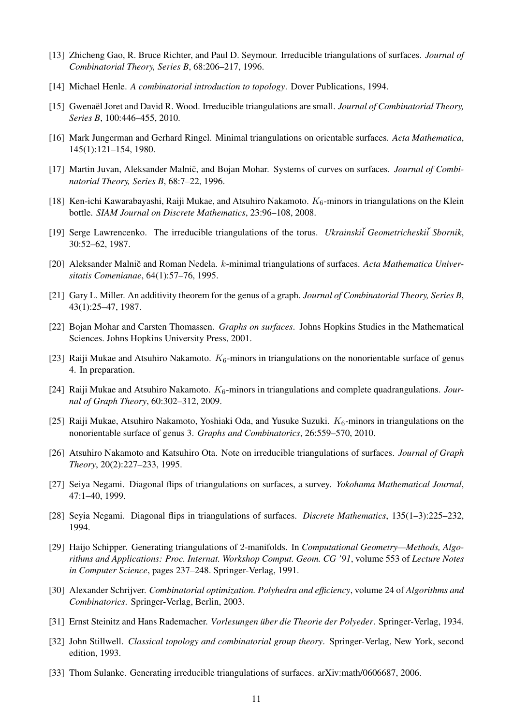- [13] Zhicheng Gao, R. Bruce Richter, and Paul D. Seymour. Irreducible triangulations of surfaces. *Journal of Combinatorial Theory, Series B*, 68:206–217, 1996.
- [14] Michael Henle. *A combinatorial introduction to topology*. Dover Publications, 1994.
- [15] Gwenaël Joret and David R. Wood. Irreducible triangulations are small. *Journal of Combinatorial Theory, Series B*, 100:446–455, 2010.
- [16] Mark Jungerman and Gerhard Ringel. Minimal triangulations on orientable surfaces. *Acta Mathematica*, 145(1):121–154, 1980.
- [17] Martin Juvan, Aleksander Malnič, and Bojan Mohar. Systems of curves on surfaces. *Journal of Combinatorial Theory, Series B*, 68:7–22, 1996.
- [18] Ken-ichi Kawarabayashi, Raiji Mukae, and Atsuhiro Nakamoto.  $K_6$ -minors in triangulations on the Klein bottle. *SIAM Journal on Discrete Mathematics*, 23:96–108, 2008.
- [19] Serge Lawrencenko. The irreducible triangulations of the torus. *Ukrainski˘i Geometricheski˘i Sbornik*, 30:52–62, 1987.
- [20] Aleksander Malnič and Roman Nedela. k-minimal triangulations of surfaces. Acta Mathematica Univer*sitatis Comenianae*, 64(1):57–76, 1995.
- [21] Gary L. Miller. An additivity theorem for the genus of a graph. *Journal of Combinatorial Theory, Series B*, 43(1):25–47, 1987.
- [22] Bojan Mohar and Carsten Thomassen. *Graphs on surfaces*. Johns Hopkins Studies in the Mathematical Sciences. Johns Hopkins University Press, 2001.
- [23] Raiji Mukae and Atsuhiro Nakamoto.  $K_6$ -minors in triangulations on the nonorientable surface of genus 4. In preparation.
- [24] Raiji Mukae and Atsuhiro Nakamoto. K<sub>6</sub>-minors in triangulations and complete quadrangulations. *Journal of Graph Theory*, 60:302–312, 2009.
- [25] Raiji Mukae, Atsuhiro Nakamoto, Yoshiaki Oda, and Yusuke Suzuki.  $K_6$ -minors in triangulations on the nonorientable surface of genus 3. *Graphs and Combinatorics*, 26:559–570, 2010.
- [26] Atsuhiro Nakamoto and Katsuhiro Ota. Note on irreducible triangulations of surfaces. *Journal of Graph Theory*, 20(2):227–233, 1995.
- [27] Seiya Negami. Diagonal flips of triangulations on surfaces, a survey. *Yokohama Mathematical Journal*, 47:1–40, 1999.
- [28] Seyia Negami. Diagonal flips in triangulations of surfaces. *Discrete Mathematics*, 135(1–3):225–232, 1994.
- [29] Haijo Schipper. Generating triangulations of 2-manifolds. In *Computational Geometry—Methods, Algorithms and Applications: Proc. Internat. Workshop Comput. Geom. CG '91*, volume 553 of *Lecture Notes in Computer Science*, pages 237–248. Springer-Verlag, 1991.
- [30] Alexander Schrijver. *Combinatorial optimization. Polyhedra and efficiency*, volume 24 of *Algorithms and Combinatorics*. Springer-Verlag, Berlin, 2003.
- [31] Ernst Steinitz and Hans Rademacher. *Vorlesungen über die Theorie der Polyeder*. Springer-Verlag, 1934.
- [32] John Stillwell. *Classical topology and combinatorial group theory*. Springer-Verlag, New York, second edition, 1993.
- [33] Thom Sulanke. Generating irreducible triangulations of surfaces. arXiv:math/0606687, 2006.